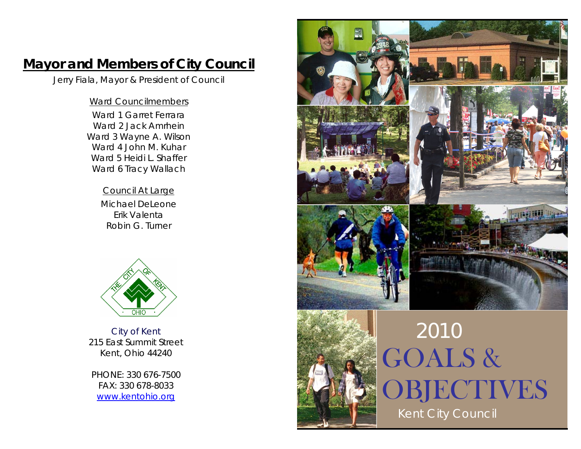# **Mayor and Members of City Council**

Jerry Fiala, Mayor & President of Council

## Ward Councilmembers

Ward 1 Garret Ferrara Ward 2 Jack Amrhein Ward 3 Wayne A. Wilson Ward 4 John M. Kuhar Ward 5 Heidi L. Shaffer Ward 6 Tracy Wallach

> Council At Large Michael DeLeone Erik Valenta Robin G. Turner



City of Kent 215 East Summit Street Kent, Ohio 44240

PHONE: 330 676-7500 FAX: 330 678-8033 [www.kentohio.org](http://www.kentohio.org/)



GOALS & **OBJECTIVES** Kent City Council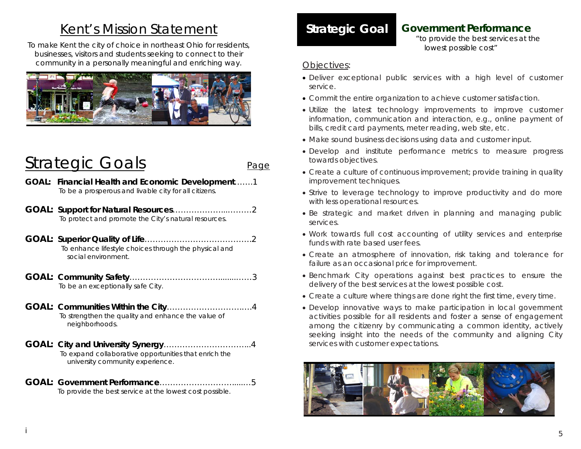## Kent's Mission Statement

To make Kent the city of choice in northeast Ohio for residents, businesses, visitors and students seeking to connect to their community in a personally meaningful and enriching way.



# Strategic Goals **Page**

- **GOAL: Financial Health and Economic Development**…….1 To be a prosperous and livable city for all citizens.
- **GOAL: Support for Natural Resources**………………...………2 To protect and promote the City's natural resources.
- **GOAL: Superior Quality of Life**………………………………….2 To enhance lifestyle choices through the physical and social environment.
- **GOAL: Community Safety**……………………………........……3 To be an exceptionally safe City.
- **GOAL: Communities Within the City**……………………….….4 To strengthen the quality and enhance the value of neighborhoods.
- **GOAL: City and University Synergy**…………………………...4 To expand collaborative opportunities that enrich the university community experience.
- **GOAL: Government Performance**……………………….....…5To provide the best service at the lowest cost possible.

## **Strategic Goal Government Performance**

*"to provide the best services at the lowest possible cost"* 

### *Objectives:*

- Deliver exceptional public services with a high level of customer service.
- Commit the entire organization to achieve customer satisfaction.
- Utilize the latest technology improvements to improve customer information, communication and interaction, e.g., online payment of bills, credit card payments, meter reading, web site, etc.
- Make sound business decisions using data and customer input.
- Develop and institute performance metrics to measure progress towards objectives.
- Create a culture of continuous improvement; provide training in quality improvement techniques.
- Strive to leverage technology to improve productivity and do more with less operational resources.
- Be strategic and market driven in planning and managing public services.
- Work towards full cost accounting of utility services and enterprise funds with rate based user fees.
- Create an atmosphere of innovation, risk taking and tolerance for failure as an occasional price for improvement.
- Benchmark City operations against best practices to ensure the delivery of the best services at the lowest possible cost.
- Create a culture where things are done right the first time, every time.
- Develop innovative ways to make participation in local government activities possible for all residents and foster a sense of engagement among the citizenry by communicating a common identity, actively seeking insight into the needs of the community and aligning City services with customer expectations.

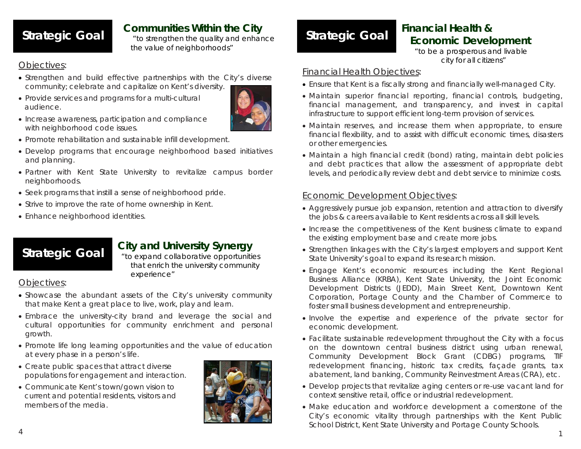**Strategic Goal Communities Within the City**<br>*Let to strengthen the quality and enhance* 

*the value of neighborhoods"* 

## *Objectives:*

- Strengthen and build effective partnerships with the City's diverse community; celebrate and capitalize on Kent's diversity.
- Provide services and programs for a multi-cultural audience.



- $\bullet$  Increase awareness, participation and compliance with neighborhood code issues.
- Promote rehabilitation and sustainable infill development.
- Develop programs that encourage neighborhood based initiatives and planning.
- Partner with Kent State University to revitalize campus border neighborhoods.
- Seek programs that instill a sense of neighborhood pride.
- Strive to improve the rate of home ownership in Kent.
- Enhance neighborhood identities.

# **Strategic Goal City and University Synergy** *"to expand collaborative opportunities*

*that enrich the university community experience"* 

## *Objectives:*

- Showcase the abundant assets of the City's university community that make Kent a great place to live, work, play and learn.
- Embrace the university-city brand and leverage the social and cultural opportunities for community enrichment and personal growth.
- Promote life long learning opportunities and the value of education at every phase in a person's life.
- Create public spaces that attract diverse populations for engagement and interaction.
- Communicate Kent's town/gown vision to current and potential residents, visitors and members of the media.



# **Strategic Goal Financial Health & Strategic Goal Economic Development**

*"to be a prosperous and livable city for all citizens"* 

## *Financial Health Objectives:*

- Ensure that Kent is a fiscally strong and financially well-managed City.
- Maintain superior financial reporting, financial controls, budgeting, financial management, and transparency, and invest in capital infrastructure to support efficient long-term provision of services.
- Maintain reserves, and increase them when appropriate, to ensure financial flexibility, and to assist with difficult economic times, disasters or other emergencies.
- Maintain a high financial credit (bond) rating, maintain debt policies and debt practices that allow the assessment of appropriate debt levels, and periodically review debt and debt service to minimize costs.

## *Economic Development Objectives:*

- Aggressively pursue job expansion, retention and attraction to diversify the jobs & careers available to Kent residents across all skill levels.
- Increase the competitiveness of the Kent business climate to expand the existing employment base and create more jobs.
- Strengthen linkages with the City's largest employers and support Kent State University's goal to expand its research mission.
- Engage Kent's economic resources including the Kent Regional Business Alliance (KRBA), Kent State University, the Joint Economic Development Districts (JEDD), Main Street Kent, Downtown Kent Corporation, Portage County and the Chamber of Commerce to foster small business development and entrepreneurship.
- Involve the expertise and experience of the private sector for economic development.
- Facilitate sustainable redevelopment throughout the City with a focus on the downtown central business district using urban renewal, Community Development Block Grant (CDBG) programs, TIF redevelopment financing, historic tax credits, façade grants, tax abatement, land banking, Community Reinvestment Areas (CRA), etc.
- Develop projects that revitalize aging centers or re-use vacant land for context sensitive retail, office or industrial redevelopment.
- Make education and workforce development a cornerstone of the City's economic vitality through partnerships with the Kent Public School District, Kent State University and Portage County Schools.